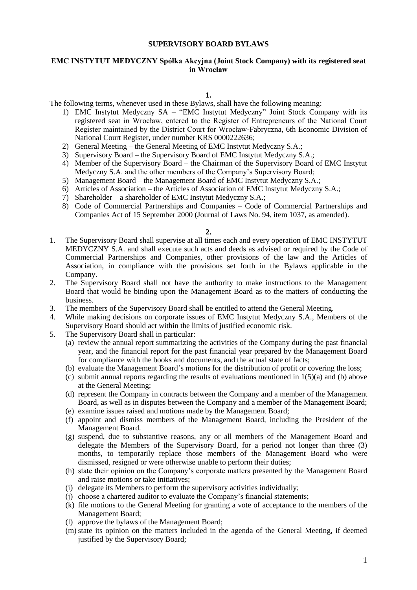# **SUPERVISORY BOARD BYLAWS**

## **EMC INSTYTUT MEDYCZNY Spółka Akcyjna (Joint Stock Company) with its registered seat in Wrocław**

### **1.**

The following terms, whenever used in these Bylaws, shall have the following meaning:

- 1) EMC Instytut Medyczny SA "EMC Instytut Medyczny" Joint Stock Company with its registered seat in Wrocław, entered to the Register of Entrepreneurs of the National Court Register maintained by the District Court for Wrocław-Fabryczna, 6th Economic Division of National Court Register, under number KRS 0000222636;
- 2) General Meeting the General Meeting of EMC Instytut Medyczny S.A.;
- 3) Supervisory Board the Supervisory Board of EMC Instytut Medyczny S.A.;
- 4) Member of the Supervisory Board the Chairman of the Supervisory Board of EMC Instytut Medyczny S.A. and the other members of the Company's Supervisory Board;
- 5) Management Board the Management Board of EMC Instytut Medyczny S.A.;
- 6) Articles of Association the Articles of Association of EMC Instytut Medyczny S.A.;
- 7) Shareholder a shareholder of EMC Instytut Medyczny S.A.;
- 8) Code of Commercial Partnerships and Companies Code of Commercial Partnerships and Companies Act of 15 September 2000 (Journal of Laws No. 94, item 1037, as amended).

#### **2.**

- 1. The Supervisory Board shall supervise at all times each and every operation of EMC INSTYTUT MEDYCZNY S.A. and shall execute such acts and deeds as advised or required by the Code of Commercial Partnerships and Companies, other provisions of the law and the Articles of Association, in compliance with the provisions set forth in the Bylaws applicable in the Company.
- 2. The Supervisory Board shall not have the authority to make instructions to the Management Board that would be binding upon the Management Board as to the matters of conducting the business.
- 3. The members of the Supervisory Board shall be entitled to attend the General Meeting.
- 4. While making decisions on corporate issues of EMC Instytut Medyczny S.A., Members of the Supervisory Board should act within the limits of justified economic risk.
- 5. The Supervisory Board shall in particular:
	- (a) review the annual report summarizing the activities of the Company during the past financial year, and the financial report for the past financial year prepared by the Management Board for compliance with the books and documents, and the actual state of facts;
	- (b) evaluate the Management Board's motions for the distribution of profit or covering the loss;
	- (c) submit annual reports regarding the results of evaluations mentioned in  $1(5)(a)$  and (b) above at the General Meeting;
	- (d) represent the Company in contracts between the Company and a member of the Management Board, as well as in disputes between the Company and a member of the Management Board;
	- (e) examine issues raised and motions made by the Management Board;
	- (f) appoint and dismiss members of the Management Board, including the President of the Management Board.
	- (g) suspend, due to substantive reasons, any or all members of the Management Board and delegate the Members of the Supervisory Board, for a period not longer than three (3) months, to temporarily replace those members of the Management Board who were dismissed, resigned or were otherwise unable to perform their duties;
	- (h) state their opinion on the Company's corporate matters presented by the Management Board and raise motions or take initiatives;
	- (i) delegate its Members to perform the supervisory activities individually;
	- (j) choose a chartered auditor to evaluate the Company's financial statements;
	- (k) file motions to the General Meeting for granting a vote of acceptance to the members of the Management Board;
	- (l) approve the bylaws of the Management Board;
	- (m) state its opinion on the matters included in the agenda of the General Meeting, if deemed justified by the Supervisory Board;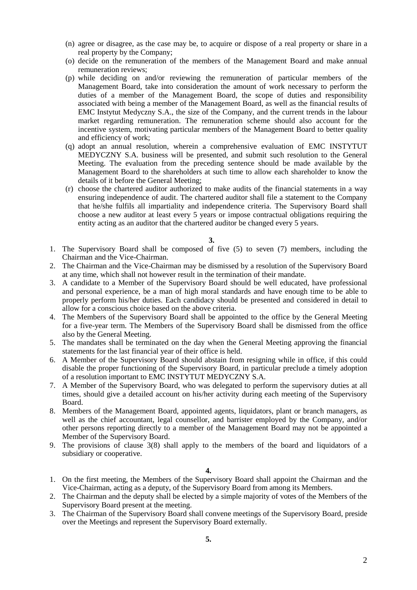- (n) agree or disagree, as the case may be, to acquire or dispose of a real property or share in a real property by the Company;
- (o) decide on the remuneration of the members of the Management Board and make annual remuneration reviews;
- (p) while deciding on and/or reviewing the remuneration of particular members of the Management Board, take into consideration the amount of work necessary to perform the duties of a member of the Management Board, the scope of duties and responsibility associated with being a member of the Management Board, as well as the financial results of EMC Instytut Medyczny S.A., the size of the Company, and the current trends in the labour market regarding remuneration. The remuneration scheme should also account for the incentive system, motivating particular members of the Management Board to better quality and efficiency of work;
- (q) adopt an annual resolution, wherein a comprehensive evaluation of EMC INSTYTUT MEDYCZNY S.A. business will be presented, and submit such resolution to the General Meeting. The evaluation from the preceding sentence should be made available by the Management Board to the shareholders at such time to allow each shareholder to know the details of it before the General Meeting;
- (r) choose the chartered auditor authorized to make audits of the financial statements in a way ensuring independence of audit. The chartered auditor shall file a statement to the Company that he/she fulfils all impartiality and independence criteria. The Supervisory Board shall choose a new auditor at least every 5 years or impose contractual obligations requiring the entity acting as an auditor that the chartered auditor be changed every 5 years.

- 1. The Supervisory Board shall be composed of five (5) to seven (7) members, including the Chairman and the Vice-Chairman.
- 2. The Chairman and the Vice-Chairman may be dismissed by a resolution of the Supervisory Board at any time, which shall not however result in the termination of their mandate.
- 3. A candidate to a Member of the Supervisory Board should be well educated, have professional and personal experience, be a man of high moral standards and have enough time to be able to properly perform his/her duties. Each candidacy should be presented and considered in detail to allow for a conscious choice based on the above criteria.
- 4. The Members of the Supervisory Board shall be appointed to the office by the General Meeting for a five-year term. The Members of the Supervisory Board shall be dismissed from the office also by the General Meeting.
- 5. The mandates shall be terminated on the day when the General Meeting approving the financial statements for the last financial year of their office is held.
- 6. A Member of the Supervisory Board should abstain from resigning while in office, if this could disable the proper functioning of the Supervisory Board, in particular preclude a timely adoption of a resolution important to EMC INSTYTUT MEDYCZNY S.A.
- 7. A Member of the Supervisory Board, who was delegated to perform the supervisory duties at all times, should give a detailed account on his/her activity during each meeting of the Supervisory Board.
- 8. Members of the Management Board, appointed agents, liquidators, plant or branch managers, as well as the chief accountant, legal counsellor, and barrister employed by the Company, and/or other persons reporting directly to a member of the Management Board may not be appointed a Member of the Supervisory Board.
- 9. The provisions of clause 3(8) shall apply to the members of the board and liquidators of a subsidiary or cooperative.

## **4.**

- 1. On the first meeting, the Members of the Supervisory Board shall appoint the Chairman and the Vice-Chairman, acting as a deputy, of the Supervisory Board from among its Members.
- 2. The Chairman and the deputy shall be elected by a simple majority of votes of the Members of the Supervisory Board present at the meeting.
- 3. The Chairman of the Supervisory Board shall convene meetings of the Supervisory Board, preside over the Meetings and represent the Supervisory Board externally.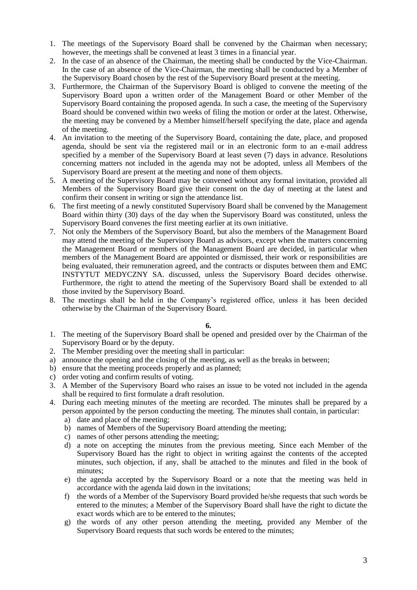- 1. The meetings of the Supervisory Board shall be convened by the Chairman when necessary; however, the meetings shall be convened at least 3 times in a financial year.
- 2. In the case of an absence of the Chairman, the meeting shall be conducted by the Vice-Chairman. In the case of an absence of the Vice-Chairman, the meeting shall be conducted by a Member of the Supervisory Board chosen by the rest of the Supervisory Board present at the meeting.
- 3. Furthermore, the Chairman of the Supervisory Board is obliged to convene the meeting of the Supervisory Board upon a written order of the Management Board or other Member of the Supervisory Board containing the proposed agenda. In such a case, the meeting of the Supervisory Board should be convened within two weeks of filing the motion or order at the latest. Otherwise, the meeting may be convened by a Member himself/herself specifying the date, place and agenda of the meeting.
- 4. An invitation to the meeting of the Supervisory Board, containing the date, place, and proposed agenda, should be sent via the registered mail or in an electronic form to an e-mail address specified by a member of the Supervisory Board at least seven (7) days in advance. Resolutions concerning matters not included in the agenda may not be adopted, unless all Members of the Supervisory Board are present at the meeting and none of them objects.
- 5. A meeting of the Supervisory Board may be convened without any formal invitation, provided all Members of the Supervisory Board give their consent on the day of meeting at the latest and confirm their consent in writing or sign the attendance list.
- 6. The first meeting of a newly constituted Supervisory Board shall be convened by the Management Board within thirty (30) days of the day when the Supervisory Board was constituted, unless the Supervisory Board convenes the first meeting earlier at its own initiative.
- 7. Not only the Members of the Supervisory Board, but also the members of the Management Board may attend the meeting of the Supervisory Board as advisors, except when the matters concerning the Management Board or members of the Management Board are decided, in particular when members of the Management Board are appointed or dismissed, their work or responsibilities are being evaluated, their remuneration agreed, and the contracts or disputes between them and EMC INSTYTUT MEDYCZNY SA. discussed, unless the Supervisory Board decides otherwise. Furthermore, the right to attend the meeting of the Supervisory Board shall be extended to all those invited by the Supervisory Board.
- 8. The meetings shall be held in the Company's registered office, unless it has been decided otherwise by the Chairman of the Supervisory Board.

- 1. The meeting of the Supervisory Board shall be opened and presided over by the Chairman of the Supervisory Board or by the deputy.
- 2. The Member presiding over the meeting shall in particular:
- a) announce the opening and the closing of the meeting, as well as the breaks in between;
- b) ensure that the meeting proceeds properly and as planned;
- c) order voting and confirm results of voting.
- 3. A Member of the Supervisory Board who raises an issue to be voted not included in the agenda shall be required to first formulate a draft resolution.
- 4. During each meeting minutes of the meeting are recorded. The minutes shall be prepared by a person appointed by the person conducting the meeting. The minutes shall contain, in particular:
	- a) date and place of the meeting;
	- b) names of Members of the Supervisory Board attending the meeting;
	- c) names of other persons attending the meeting;
	- d) a note on accepting the minutes from the previous meeting. Since each Member of the Supervisory Board has the right to object in writing against the contents of the accepted minutes, such objection, if any, shall be attached to the minutes and filed in the book of minutes;
	- e) the agenda accepted by the Supervisory Board or a note that the meeting was held in accordance with the agenda laid down in the invitations;
	- f) the words of a Member of the Supervisory Board provided he/she requests that such words be entered to the minutes; a Member of the Supervisory Board shall have the right to dictate the exact words which are to be entered to the minutes;
	- g) the words of any other person attending the meeting, provided any Member of the Supervisory Board requests that such words be entered to the minutes;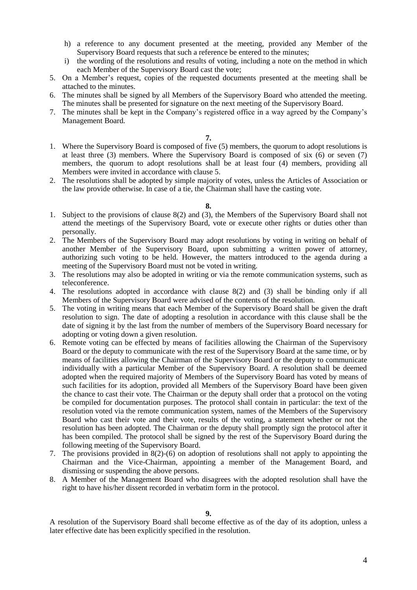- h) a reference to any document presented at the meeting, provided any Member of the Supervisory Board requests that such a reference be entered to the minutes;
- i) the wording of the resolutions and results of voting, including a note on the method in which each Member of the Supervisory Board cast the vote;
- 5. On a Member's request, copies of the requested documents presented at the meeting shall be attached to the minutes.
- 6. The minutes shall be signed by all Members of the Supervisory Board who attended the meeting. The minutes shall be presented for signature on the next meeting of the Supervisory Board.
- 7. The minutes shall be kept in the Company's registered office in a way agreed by the Company's Management Board.

- 1. Where the Supervisory Board is composed of five (5) members, the quorum to adopt resolutions is at least three (3) members. Where the Supervisory Board is composed of six (6) or seven (7) members, the quorum to adopt resolutions shall be at least four (4) members, providing all Members were invited in accordance with clause 5.
- 2. The resolutions shall be adopted by simple majority of votes, unless the Articles of Association or the law provide otherwise. In case of a tie, the Chairman shall have the casting vote.

**8.**

- 1. Subject to the provisions of clause 8(2) and (3), the Members of the Supervisory Board shall not attend the meetings of the Supervisory Board, vote or execute other rights or duties other than personally.
- 2. The Members of the Supervisory Board may adopt resolutions by voting in writing on behalf of another Member of the Supervisory Board, upon submitting a written power of attorney, authorizing such voting to be held. However, the matters introduced to the agenda during a meeting of the Supervisory Board must not be voted in writing.
- 3. The resolutions may also be adopted in writing or via the remote communication systems, such as teleconference.
- 4. The resolutions adopted in accordance with clause 8(2) and (3) shall be binding only if all Members of the Supervisory Board were advised of the contents of the resolution.
- 5. The voting in writing means that each Member of the Supervisory Board shall be given the draft resolution to sign. The date of adopting a resolution in accordance with this clause shall be the date of signing it by the last from the number of members of the Supervisory Board necessary for adopting or voting down a given resolution.
- 6. Remote voting can be effected by means of facilities allowing the Chairman of the Supervisory Board or the deputy to communicate with the rest of the Supervisory Board at the same time, or by means of facilities allowing the Chairman of the Supervisory Board or the deputy to communicate individually with a particular Member of the Supervisory Board. A resolution shall be deemed adopted when the required majority of Members of the Supervisory Board has voted by means of such facilities for its adoption, provided all Members of the Supervisory Board have been given the chance to cast their vote. The Chairman or the deputy shall order that a protocol on the voting be compiled for documentation purposes. The protocol shall contain in particular: the text of the resolution voted via the remote communication system, names of the Members of the Supervisory Board who cast their vote and their vote, results of the voting, a statement whether or not the resolution has been adopted. The Chairman or the deputy shall promptly sign the protocol after it has been compiled. The protocol shall be signed by the rest of the Supervisory Board during the following meeting of the Supervisory Board.
- 7. The provisions provided in 8(2)-(6) on adoption of resolutions shall not apply to appointing the Chairman and the Vice-Chairman, appointing a member of the Management Board, and dismissing or suspending the above persons.
- 8. A Member of the Management Board who disagrees with the adopted resolution shall have the right to have his/her dissent recorded in verbatim form in the protocol.

A resolution of the Supervisory Board shall become effective as of the day of its adoption, unless a later effective date has been explicitly specified in the resolution.